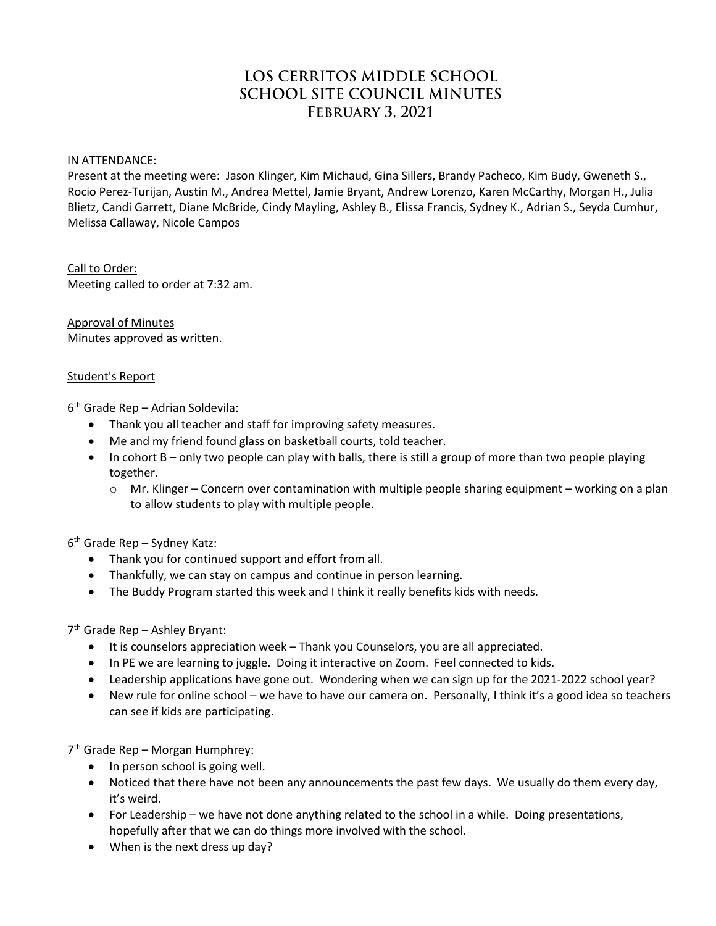# LOS CERRITOS MIDDLE SCHOOL **SCHOOL SITE COUNCIL MINUTES FEBRUARY 3, 2021**

IN ATTENDANCE:

Present at the meeting were: Jason Klinger, Kim Michaud, Gina Sillers, Brandy Pacheco, Kim Budy, Gweneth S., Rocio Perez-Turijan, Austin M., Andrea Mettel, Jamie Bryant, Andrew Lorenzo, Karen McCarthy, Morgan H., Julia Blietz, Candi Garrett, Diane McBride, Cindy Mayling, Ashley B., Elissa Francis, Sydney K., Adrian S., Seyda Cumhur, Melissa Callaway, Nicole Campos

Call to Order: Meeting called to order at 7:32 am.

Approval of Minutes Minutes approved as written.

## Student's Report

6 th Grade Rep – Adrian Soldevila:

- Thank you all teacher and staff for improving safety measures.
- Me and my friend found glass on basketball courts, told teacher.
- In cohort B only two people can play with balls, there is still a group of more than two people playing together.
	- $\circ$  Mr. Klinger Concern over contamination with multiple people sharing equipment working on a plan to allow students to play with multiple people.

6 th Grade Rep – Sydney Katz:

- Thank you for continued support and effort from all.
- Thankfully, we can stay on campus and continue in person learning.
- The Buddy Program started this week and I think it really benefits kids with needs.

7 th Grade Rep – Ashley Bryant:

- It is counselors appreciation week Thank you Counselors, you are all appreciated.
- In PE we are learning to juggle. Doing it interactive on Zoom. Feel connected to kids.
- Leadership applications have gone out. Wondering when we can sign up for the 2021-2022 school year?
- New rule for online school we have to have our camera on. Personally, I think it's a good idea so teachers can see if kids are participating.

7<sup>th</sup> Grade Rep - Morgan Humphrey:

- In person school is going well.
- Noticed that there have not been any announcements the past few days. We usually do them every day, it's weird.
- For Leadership we have not done anything related to the school in a while. Doing presentations, hopefully after that we can do things more involved with the school.
- When is the next dress up day?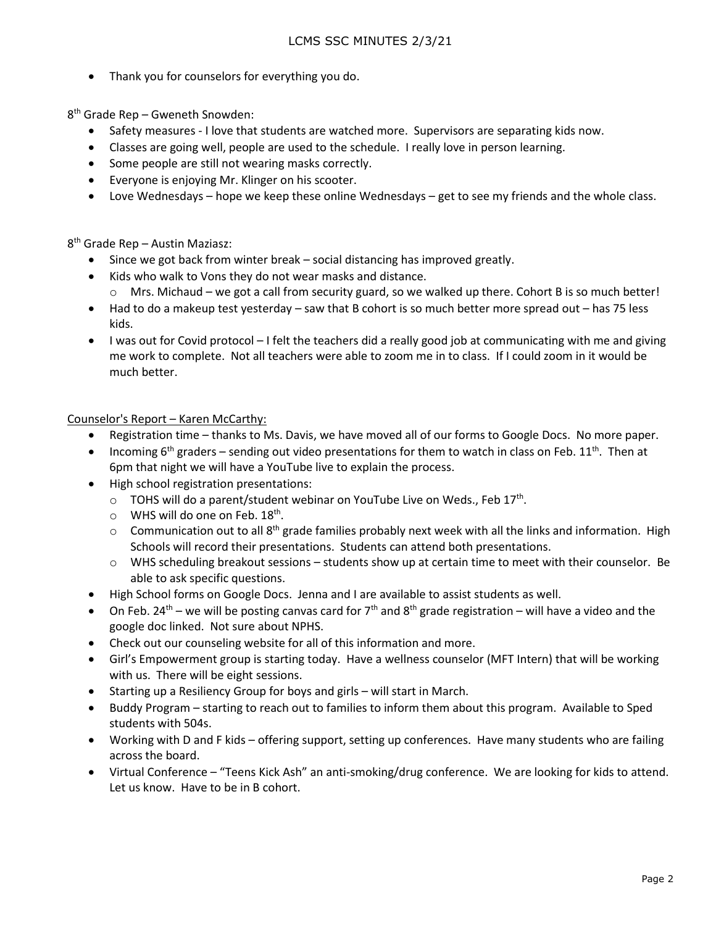Thank you for counselors for everything you do.

8 th Grade Rep – Gweneth Snowden:

- Safety measures I love that students are watched more. Supervisors are separating kids now.
- Classes are going well, people are used to the schedule. I really love in person learning.
- Some people are still not wearing masks correctly.
- Everyone is enjoying Mr. Klinger on his scooter.
- Love Wednesdays hope we keep these online Wednesdays get to see my friends and the whole class.

8 th Grade Rep – Austin Maziasz:

- Since we got back from winter break social distancing has improved greatly.
- Kids who walk to Vons they do not wear masks and distance.
	- $\circ$  Mrs. Michaud we got a call from security guard, so we walked up there. Cohort B is so much better!
- Had to do a makeup test yesterday saw that B cohort is so much better more spread out has 75 less kids.
- I was out for Covid protocol I felt the teachers did a really good job at communicating with me and giving me work to complete. Not all teachers were able to zoom me in to class. If I could zoom in it would be much better.

Counselor's Report – Karen McCarthy:

- Registration time thanks to Ms. Davis, we have moved all of our forms to Google Docs. No more paper.
- Incoming 6<sup>th</sup> graders sending out video presentations for them to watch in class on Feb. 11<sup>th</sup>. Then at 6pm that night we will have a YouTube live to explain the process.
- High school registration presentations:
	- $\circ$  TOHS will do a parent/student webinar on YouTube Live on Weds., Feb 17<sup>th</sup>.
	- $\circ$  WHS will do one on Feb. 18<sup>th</sup>.
	- $\circ$  Communication out to all 8<sup>th</sup> grade families probably next week with all the links and information. High Schools will record their presentations. Students can attend both presentations.
	- o WHS scheduling breakout sessions students show up at certain time to meet with their counselor. Be able to ask specific questions.
- High School forms on Google Docs. Jenna and I are available to assist students as well.
- On Feb. 24<sup>th</sup> we will be posting canvas card for  $7<sup>th</sup>$  and 8<sup>th</sup> grade registration will have a video and the google doc linked. Not sure about NPHS.
- Check out our counseling website for all of this information and more.
- Girl's Empowerment group is starting today. Have a wellness counselor (MFT Intern) that will be working with us. There will be eight sessions.
- Starting up a Resiliency Group for boys and girls will start in March.
- Buddy Program starting to reach out to families to inform them about this program. Available to Sped students with 504s.
- Working with D and F kids offering support, setting up conferences. Have many students who are failing across the board.
- Virtual Conference "Teens Kick Ash" an anti-smoking/drug conference. We are looking for kids to attend. Let us know. Have to be in B cohort.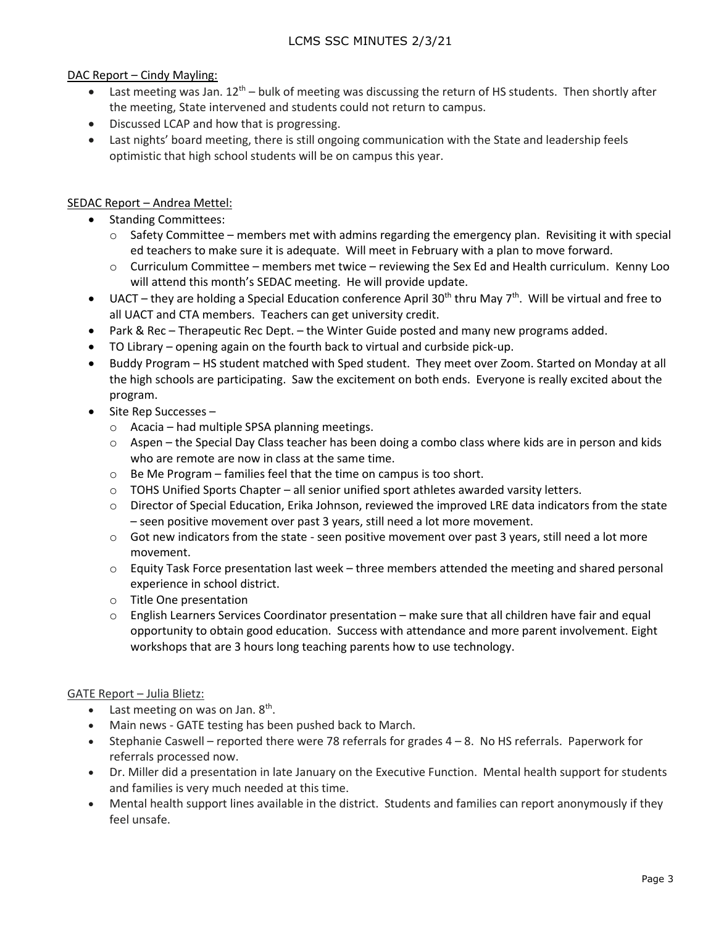# LCMS SSC MINUTES 2/3/21

## DAC Report – Cindy Mayling:

- **•** Last meeting was Jan.  $12^{th}$  bulk of meeting was discussing the return of HS students. Then shortly after the meeting, State intervened and students could not return to campus.
- Discussed LCAP and how that is progressing.
- Last nights' board meeting, there is still ongoing communication with the State and leadership feels optimistic that high school students will be on campus this year.

## SEDAC Report – Andrea Mettel:

- Standing Committees:
	- o Safety Committee members met with admins regarding the emergency plan. Revisiting it with special ed teachers to make sure it is adequate. Will meet in February with a plan to move forward.
	- o Curriculum Committee members met twice reviewing the Sex Ed and Health curriculum. Kenny Loo will attend this month's SEDAC meeting. He will provide update.
- $\bullet$  UACT they are holding a Special Education conference April 30<sup>th</sup> thru May 7<sup>th</sup>. Will be virtual and free to all UACT and CTA members. Teachers can get university credit.
- Park & Rec Therapeutic Rec Dept. the Winter Guide posted and many new programs added.
- TO Library opening again on the fourth back to virtual and curbside pick-up.
- Buddy Program HS student matched with Sped student. They meet over Zoom. Started on Monday at all the high schools are participating. Saw the excitement on both ends. Everyone is really excited about the program.
- $\bullet$  Site Rep Successes
	- o Acacia had multiple SPSA planning meetings.
	- o Aspen the Special Day Class teacher has been doing a combo class where kids are in person and kids who are remote are now in class at the same time.
	- o Be Me Program families feel that the time on campus is too short.
	- $\circ$  TOHS Unified Sports Chapter all senior unified sport athletes awarded varsity letters.
	- $\circ$  Director of Special Education, Erika Johnson, reviewed the improved LRE data indicators from the state – seen positive movement over past 3 years, still need a lot more movement.
	- $\circ$  Got new indicators from the state seen positive movement over past 3 years, still need a lot more movement.
	- $\circ$  Equity Task Force presentation last week three members attended the meeting and shared personal experience in school district.
	- o Title One presentation
	- $\circ$  English Learners Services Coordinator presentation make sure that all children have fair and equal opportunity to obtain good education. Success with attendance and more parent involvement. Eight workshops that are 3 hours long teaching parents how to use technology.

## GATE Report – Julia Blietz:

- $\bullet$  Last meeting on was on Jan.  $8^{\text{th}}$ .
- Main news GATE testing has been pushed back to March.
- $\bullet$  Stephanie Caswell reported there were 78 referrals for grades 4 8. No HS referrals. Paperwork for referrals processed now.
- Dr. Miller did a presentation in late January on the Executive Function. Mental health support for students and families is very much needed at this time.
- Mental health support lines available in the district. Students and families can report anonymously if they feel unsafe.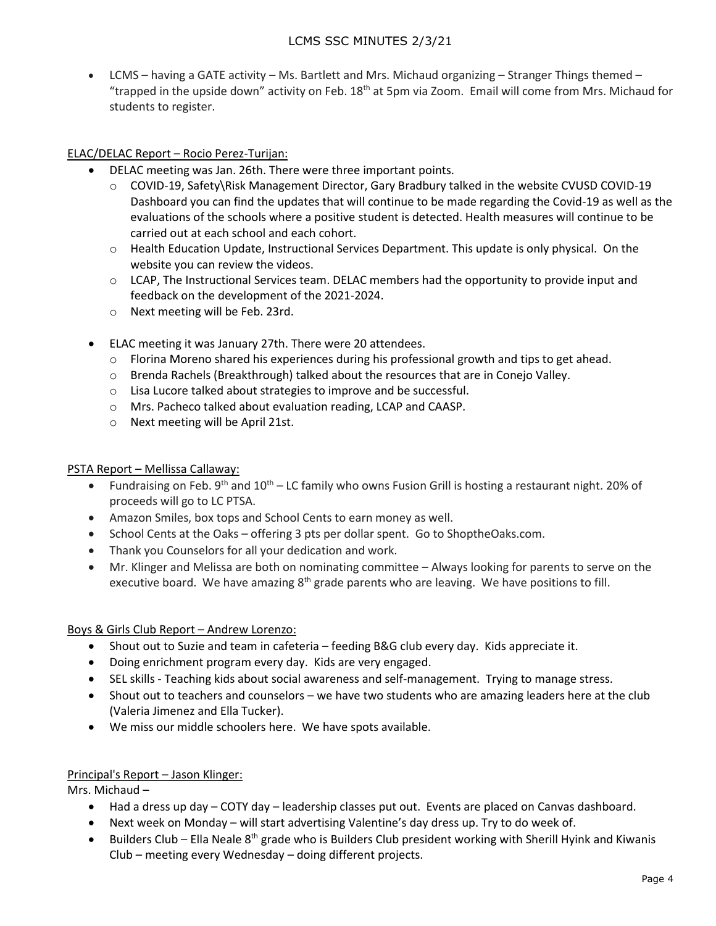LCMS – having a GATE activity – Ms. Bartlett and Mrs. Michaud organizing – Stranger Things themed – "trapped in the upside down" activity on Feb. 18<sup>th</sup> at 5pm via Zoom. Email will come from Mrs. Michaud for students to register.

## ELAC/DELAC Report – Rocio Perez-Turijan:

- DELAC meeting was Jan. 26th. There were three important points.
	- o COVID-19, Safety\Risk Management Director, Gary Bradbury talked in the website CVUSD COVID-19 Dashboard you can find the updates that will continue to be made regarding the Covid-19 as well as the evaluations of the schools where a positive student is detected. Health measures will continue to be carried out at each school and each cohort.
	- $\circ$  Health Education Update, Instructional Services Department. This update is only physical. On the website you can review the videos.
	- $\circ$  LCAP, The Instructional Services team. DELAC members had the opportunity to provide input and feedback on the development of the 2021-2024.
	- o Next meeting will be Feb. 23rd.
- ELAC meeting it was January 27th. There were 20 attendees.
	- o Florina Moreno shared his experiences during his professional growth and tips to get ahead.
	- o Brenda Rachels (Breakthrough) talked about the resources that are in Conejo Valley.
	- o Lisa Lucore talked about strategies to improve and be successful.
	- o Mrs. Pacheco talked about evaluation reading, LCAP and CAASP.
	- o Next meeting will be April 21st.

## PSTA Report – Mellissa Callaway:

- Fundraising on Feb.  $9^{th}$  and  $10^{th}$  LC family who owns Fusion Grill is hosting a restaurant night. 20% of proceeds will go to LC PTSA.
- Amazon Smiles, box tops and School Cents to earn money as well.
- School Cents at the Oaks offering 3 pts per dollar spent. Go to ShoptheOaks.com.
- Thank you Counselors for all your dedication and work.
- Mr. Klinger and Melissa are both on nominating committee Always looking for parents to serve on the executive board. We have amazing 8<sup>th</sup> grade parents who are leaving. We have positions to fill.

## Boys & Girls Club Report – Andrew Lorenzo:

- Shout out to Suzie and team in cafeteria feeding B&G club every day. Kids appreciate it.
- Doing enrichment program every day. Kids are very engaged.
- SEL skills Teaching kids about social awareness and self-management. Trying to manage stress.
- Shout out to teachers and counselors we have two students who are amazing leaders here at the club (Valeria Jimenez and Ella Tucker).
- We miss our middle schoolers here. We have spots available.

## Principal's Report – Jason Klinger:

Mrs. Michaud –

- Had a dress up day COTY day leadership classes put out. Events are placed on Canvas dashboard.
- Next week on Monday will start advertising Valentine's day dress up. Try to do week of.
- Builders Club Ella Neale 8<sup>th</sup> grade who is Builders Club president working with Sherill Hyink and Kiwanis Club – meeting every Wednesday – doing different projects.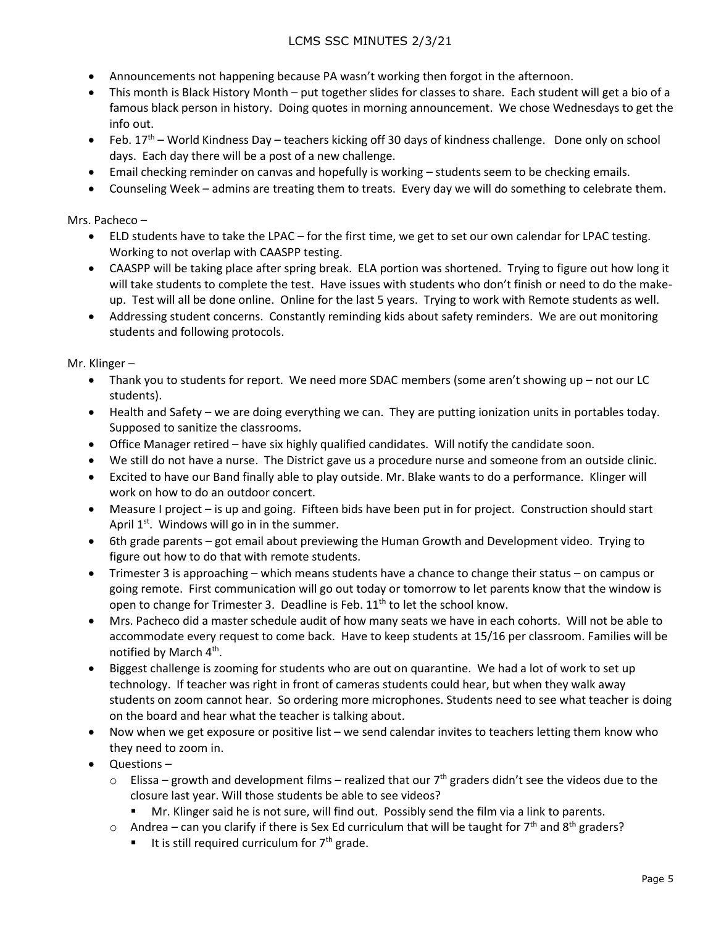## LCMS SSC MINUTES 2/3/21

- Announcements not happening because PA wasn't working then forgot in the afternoon.
- This month is Black History Month put together slides for classes to share. Each student will get a bio of a famous black person in history. Doing quotes in morning announcement. We chose Wednesdays to get the info out.
- Feb. 17<sup>th</sup> World Kindness Day teachers kicking off 30 days of kindness challenge. Done only on school days. Each day there will be a post of a new challenge.
- Email checking reminder on canvas and hopefully is working students seem to be checking emails.
- Counseling Week admins are treating them to treats. Every day we will do something to celebrate them.

Mrs. Pacheco –

- ELD students have to take the LPAC for the first time, we get to set our own calendar for LPAC testing. Working to not overlap with CAASPP testing.
- CAASPP will be taking place after spring break. ELA portion was shortened. Trying to figure out how long it will take students to complete the test. Have issues with students who don't finish or need to do the makeup. Test will all be done online. Online for the last 5 years. Trying to work with Remote students as well.
- Addressing student concerns. Constantly reminding kids about safety reminders. We are out monitoring students and following protocols.

Mr. Klinger –

- Thank you to students for report. We need more SDAC members (some aren't showing up not our LC students).
- Health and Safety we are doing everything we can. They are putting ionization units in portables today. Supposed to sanitize the classrooms.
- Office Manager retired have six highly qualified candidates. Will notify the candidate soon.
- We still do not have a nurse. The District gave us a procedure nurse and someone from an outside clinic.
- Excited to have our Band finally able to play outside. Mr. Blake wants to do a performance. Klinger will work on how to do an outdoor concert.
- Measure I project is up and going. Fifteen bids have been put in for project. Construction should start April  $1^{st}$ . Windows will go in in the summer.
- 6th grade parents got email about previewing the Human Growth and Development video. Trying to figure out how to do that with remote students.
- Trimester 3 is approaching which means students have a chance to change their status on campus or going remote. First communication will go out today or tomorrow to let parents know that the window is open to change for Trimester 3. Deadline is Feb.  $11<sup>th</sup>$  to let the school know.
- Mrs. Pacheco did a master schedule audit of how many seats we have in each cohorts. Will not be able to accommodate every request to come back. Have to keep students at 15/16 per classroom. Families will be notified by March 4<sup>th</sup>.
- Biggest challenge is zooming for students who are out on quarantine. We had a lot of work to set up technology. If teacher was right in front of cameras students could hear, but when they walk away students on zoom cannot hear. So ordering more microphones. Students need to see what teacher is doing on the board and hear what the teacher is talking about.
- Now when we get exposure or positive list we send calendar invites to teachers letting them know who they need to zoom in.
- Questions
	- $\circ$  Elissa growth and development films realized that our 7<sup>th</sup> graders didn't see the videos due to the closure last year. Will those students be able to see videos?
		- Mr. Klinger said he is not sure, will find out. Possibly send the film via a link to parents.
	- $\circ$  Andrea can you clarify if there is Sex Ed curriculum that will be taught for 7<sup>th</sup> and 8<sup>th</sup> graders?
		- It is still required curriculum for  $7<sup>th</sup>$  grade.